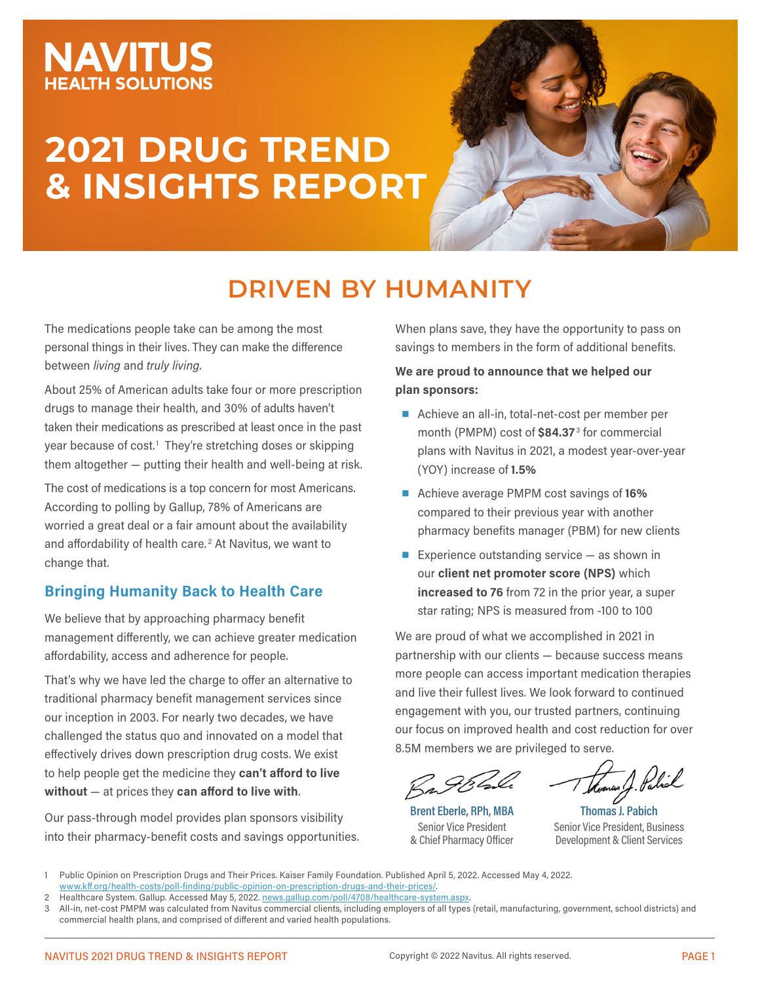## **NAVITUS EALTH SOLUTIONS**

# **2021 DRUG TREND & INSIGHTS REPORT**



## **DRIVEN BY HUMANITY**

The medications people take can be among the most personal things in their lives. They can make the difference between *living* and *truly living*.

About 25% of American adults take four or more prescription drugs to manage their health, and 30% of adults haven't taken their medications as prescribed at least once in the past year because of cost.<sup>1</sup> They're stretching doses or skipping them altogether — putting their health and well-being at risk.

The cost of medications is a top concern for most Americans. According to polling by Gallup, 78% of Americans are worried a great deal or a fair amount about the availability and affordability of health care.<sup>2</sup> At Navitus, we want to change that.

### **Bringing Humanity Back to Health Care**

We believe that by approaching pharmacy benefit management differently, we can achieve greater medication affordability, access and adherence for people.

That's why we have led the charge to offer an alternative to traditional pharmacy benefit management services since our inception in 2003. For nearly two decades, we have challenged the status quo and innovated on a model that effectively drives down prescription drug costs. We exist to help people get the medicine they **can't afford to live without** — at prices they **can afford to live with**.

Our pass-through model provides plan sponsors visibility into their pharmacy-benefit costs and savings opportunities. When plans save, they have the opportunity to pass on savings to members in the form of additional benefits.

#### **We are proud to announce that we helped our plan sponsors:**

- Achieve an all-in, total-net-cost per member per month (PMPM) cost of \$84.37<sup>3</sup> for commercial plans with Navitus in 2021, a modest year-over-year (YOY) increase of **1.5%**
- Achieve average PMPM cost savings of **16%** compared to their previous year with another pharmacy benefits manager (PBM) for new clients
- Experience outstanding service  $-$  as shown in our **client net promoter score (NPS)** which **increased to 76** from 72 in the prior year, a super star rating; NPS is measured from -100 to 100

We are proud of what we accomplished in 2021 in partnership with our clients — because success means more people can access important medication therapies and live their fullest lives. We look forward to continued engagement with you, our trusted partners, continuing our focus on improved health and cost reduction for over 8.5M members we are privileged to serve.

? 9/36x

**Brent Eberle, RPh, MBA** Senior Vice President & Chief Pharmacy Officer

**Thomas J. Pabich** Senior Vice President, Business Development & Client Services

<sup>1</sup> Public Opinion on Prescription Drugs and Their Prices. Kaiser Family Foundation. Published April 5, 2022. Accessed May 4, 2022. [www.kff.org/health-costs/poll-finding/public-opinion-on-prescription-drugs-and-their-prices/](https://www.kff.org/health-costs/poll-finding/public-opinion-on-prescription-drugs-and-their-prices/).

Healthcare System. Gallup. Accessed May 5, 2022. [news.gallup.com/poll/4708/healthcare-system.aspx](https://news.gallup.com/poll/4708/healthcare-system.aspx).

All-in, net-cost PMPM was calculated from Navitus commercial clients, including employers of all types (retail, manufacturing, government, school districts) and commercial health plans, and comprised of different and varied health populations.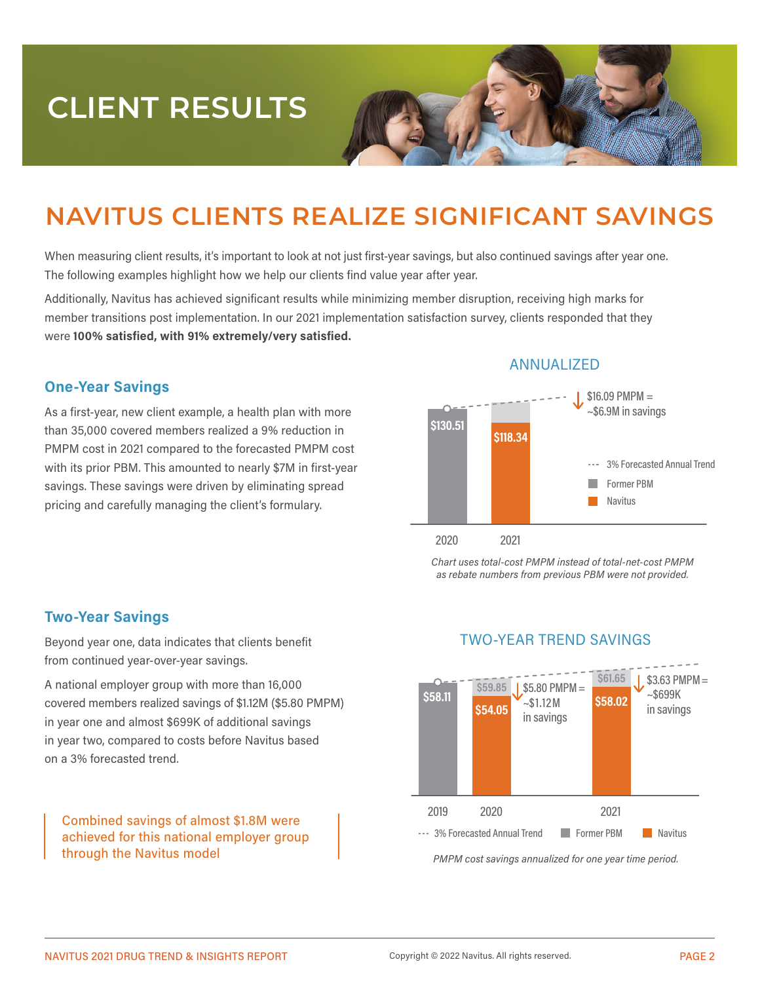# **CLIENT RESULTS**

## **NAVITUS CLIENTS REALIZE SIGNIFICANT SAVINGS**

When measuring client results, it's important to look at not just first-year savings, but also continued savings after year one. The following examples highlight how we help our clients find value year after year.

Additionally, Navitus has achieved significant results while minimizing member disruption, receiving high marks for member transitions post implementation. In our 2021 implementation satisfaction survey, clients responded that they were **100% satisfied, with 91% extremely/very satisfied.**

#### **One-Year Savings**

As a first-year, new client example, a health plan with more than 35,000 covered members realized a 9% reduction in PMPM cost in 2021 compared to the forecasted PMPM cost with its prior PBM. This amounted to nearly \$7M in first-year savings. These savings were driven by eliminating spread pricing and carefully managing the client's formulary.



#### ANNUALIZED

*Chart uses total-cost PMPM instead of total-net-cost PMPM as rebate numbers from previous PBM were not provided.*

#### **Two-Year Savings**

Beyond year one, data indicates that clients benefit from continued year-over-year savings.

A national employer group with more than 16,000 covered members realized savings of \$1.12M (\$5.80 PMPM) in year one and almost \$699K of additional savings in year two, compared to costs before Navitus based on a 3% forecasted trend.

Combined savings of almost \$1.8M were achieved for this national employer group through the Navitus model



TWO-YEAR TREND SAVINGS

*PMPM cost savings annualized for one year time period.*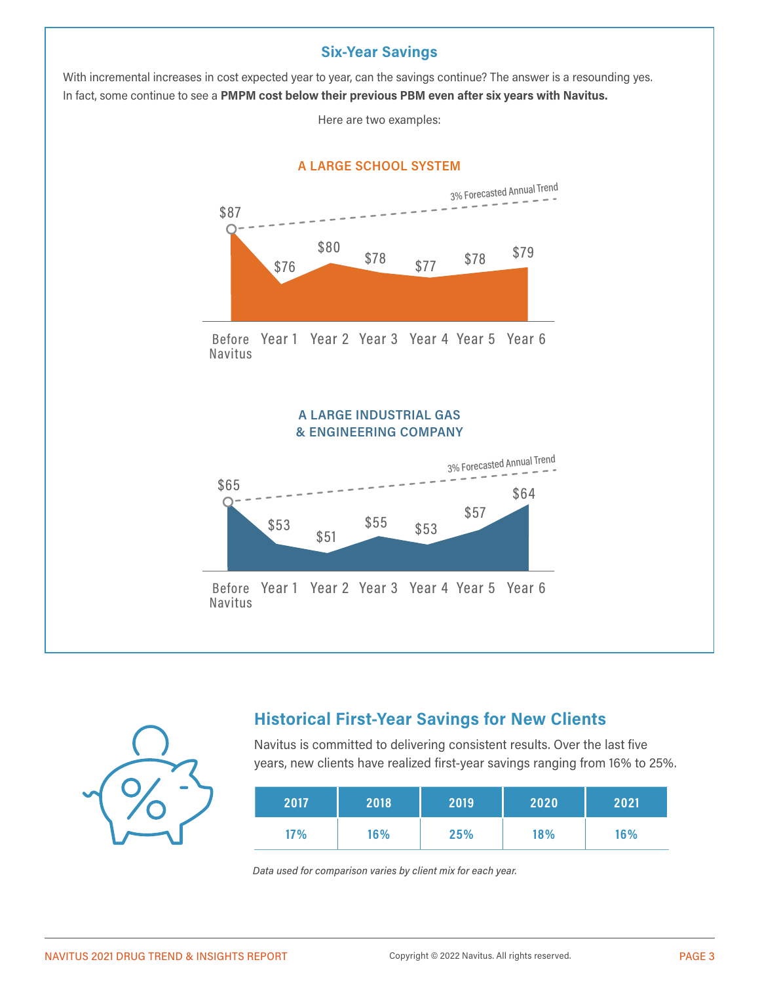#### **Six-Year Savings**

With incremental increases in cost expected year to year, can the savings continue? The answer is a resounding yes. In fact, some continue to see a **PMPM cost below their previous PBM even after six years with Navitus.**

Here are two examples:





## **Historical First-Year Savings for New Clients**

Navitus is committed to delivering consistent results. Over the last five years, new clients have realized first-year savings ranging from 16% to 25%.

| 2017 | 2018 | 2019 | 2020 | 2021 |
|------|------|------|------|------|
| 17%  | 16%  | 25%  | 18%  | 16%  |

*Data used for comparison varies by client mix for each year.*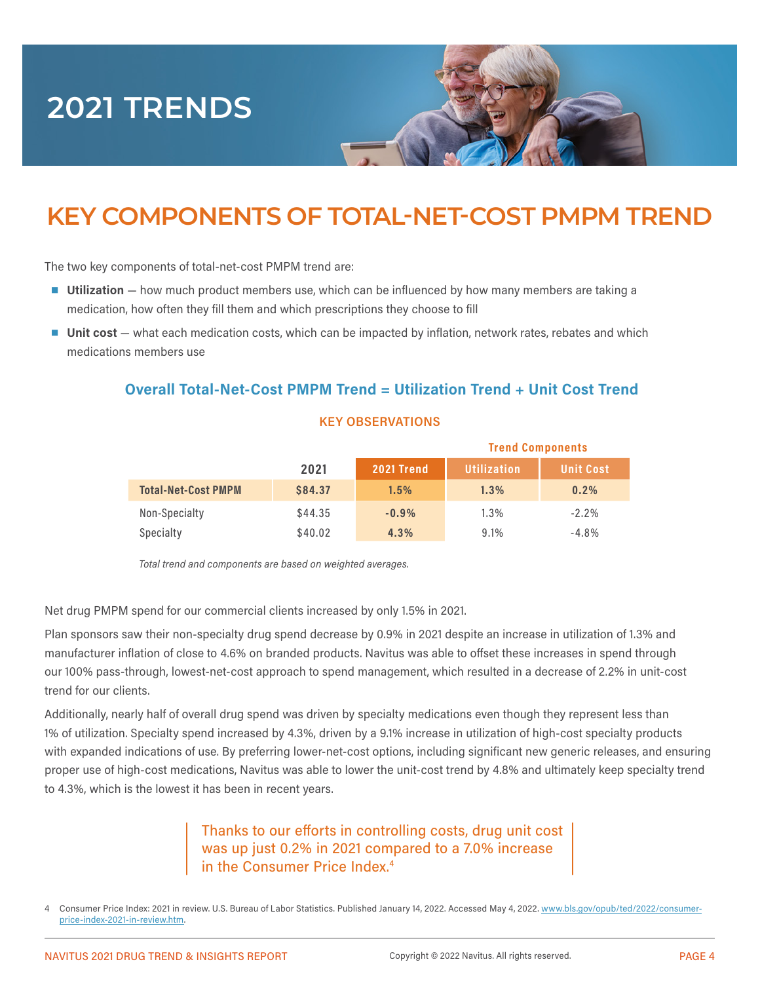# **2021 TRENDS**

## **KEY COMPONENTS OF TOTAL-NET-COST PMPM TREND**

The two key components of total-net-cost PMPM trend are:

- **Utilization** how much product members use, which can be influenced by how many members are taking a medication, how often they fill them and which prescriptions they choose to fill
- **Unit cost** what each medication costs, which can be impacted by inflation, network rates, rebates and which medications members use

#### **Overall Total-Net-Cost PMPM Trend = Utilization Trend + Unit Cost Trend**

#### **KEY OBSERVATIONS**

|                            |                |            | <b>Trend Components</b> |                  |  |
|----------------------------|----------------|------------|-------------------------|------------------|--|
|                            | 2021           | 2021 Trend | <b>Utilization</b>      | <b>Unit Cost</b> |  |
| <b>Total-Net-Cost PMPM</b> | <b>\$84.37</b> | 1.5%       | 1.3%                    | 0.2%             |  |
| Non-Specialty              | \$44.35        | $-0.9%$    | 1.3%                    | $-2.2%$          |  |
| Specialty                  | \$40.02        | 4.3%       | 9.1%                    | $-4.8%$          |  |

*Total trend and components are based on weighted averages.*

Net drug PMPM spend for our commercial clients increased by only 1.5% in 2021.

Plan sponsors saw their non-specialty drug spend decrease by 0.9% in 2021 despite an increase in utilization of 1.3% and manufacturer inflation of close to 4.6% on branded products. Navitus was able to offset these increases in spend through our 100% pass-through, lowest-net-cost approach to spend management, which resulted in a decrease of 2.2% in unit-cost trend for our clients.

Additionally, nearly half of overall drug spend was driven by specialty medications even though they represent less than 1% of utilization. Specialty spend increased by 4.3%, driven by a 9.1% increase in utilization of high-cost specialty products with expanded indications of use. By preferring lower-net-cost options, including significant new generic releases, and ensuring proper use of high-cost medications, Navitus was able to lower the unit-cost trend by 4.8% and ultimately keep specialty trend to 4.3%, which is the lowest it has been in recent years.

#### Thanks to our efforts in controlling costs, drug unit cost was up just 0.2% in 2021 compared to a 7.0% increase in the Consumer Price Index.<sup>4</sup>

Consumer Price Index: 2021 in review. U.S. Bureau of Labor Statistics. Published January 14, 2022. Accessed May 4, 2022. [www.bls.gov/opub/ted/2022/consumer](https://www.bls.gov/opub/ted/2022/consumer-price-index-2021-in-review.htm)[price-index-2021-in-review.htm](https://www.bls.gov/opub/ted/2022/consumer-price-index-2021-in-review.htm).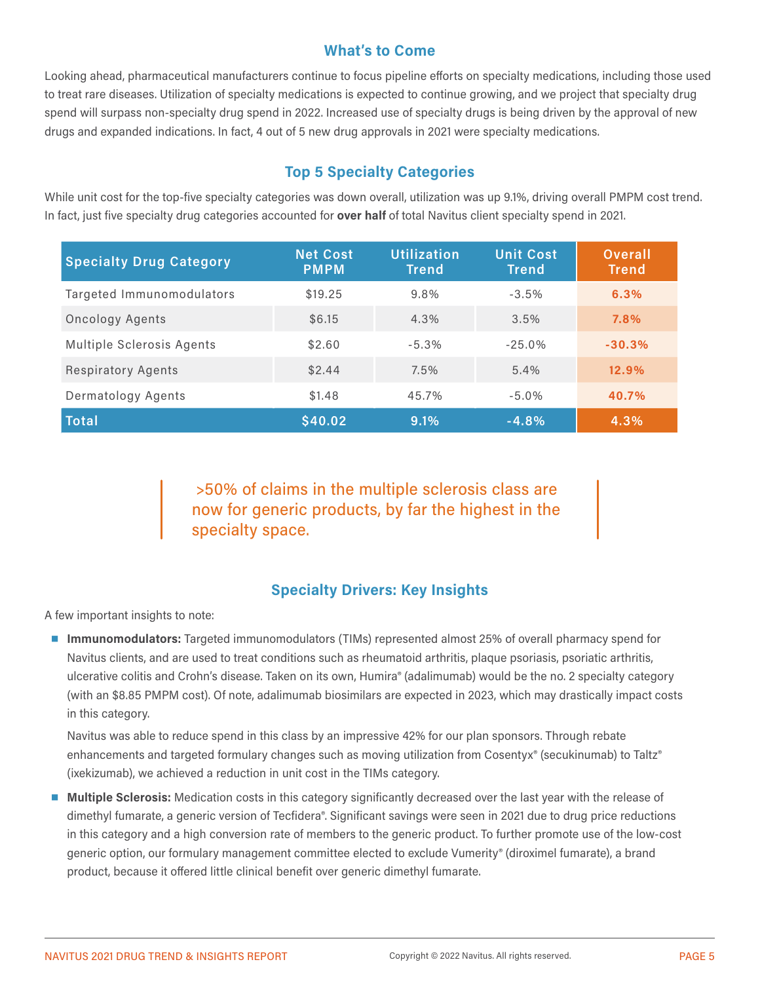#### **What's to Come**

Looking ahead, pharmaceutical manufacturers continue to focus pipeline efforts on specialty medications, including those used to treat rare diseases. Utilization of specialty medications is expected to continue growing, and we project that specialty drug spend will surpass non-specialty drug spend in 2022. Increased use of specialty drugs is being driven by the approval of new drugs and expanded indications. In fact, 4 out of 5 new drug approvals in 2021 were specialty medications.

### **Top 5 Specialty Categories**

While unit cost for the top-five specialty categories was down overall, utilization was up 9.1%, driving overall PMPM cost trend. In fact, just five specialty drug categories accounted for **over half** of total Navitus client specialty spend in 2021.

| <b>Specialty Drug Category</b> | <b>Net Cost</b><br><b>PMPM</b> | <b>Utilization</b><br><b>Trend</b> | <b>Unit Cost</b><br><b>Trend</b> | <b>Overall</b><br><b>Trend</b> |
|--------------------------------|--------------------------------|------------------------------------|----------------------------------|--------------------------------|
| Targeted Immunomodulators      | \$19.25                        | 9.8%                               | $-3.5%$                          | 6.3%                           |
| Oncology Agents                | \$6.15                         | 4.3%                               | 3.5%                             | 7.8%                           |
| Multiple Sclerosis Agents      | \$2,60                         | $-5.3%$                            | $-25.0\%$                        | $-30.3%$                       |
| <b>Respiratory Agents</b>      | \$2.44                         | 7.5%                               | 5.4%                             | 12.9%                          |
| Dermatology Agents             | \$1,48                         | 45.7%                              | $-5.0%$                          | 40.7%                          |
| <b>Total</b>                   | \$40.02                        | 9.1%                               | $-4.8%$                          | 4.3%                           |

 >50% of claims in the multiple sclerosis class are now for generic products, by far the highest in the specialty space.

#### **Specialty Drivers: Key Insights**

A few important insights to note:

■ **Immunomodulators:** Targeted immunomodulators (TIMs) represented almost 25% of overall pharmacy spend for Navitus clients, and are used to treat conditions such as rheumatoid arthritis, plaque psoriasis, psoriatic arthritis, ulcerative colitis and Crohn's disease. Taken on its own, Humira® (adalimumab) would be the no. 2 specialty category (with an \$8.85 PMPM cost). Of note, adalimumab biosimilars are expected in 2023, which may drastically impact costs in this category.

Navitus was able to reduce spend in this class by an impressive 42% for our plan sponsors. Through rebate enhancements and targeted formulary changes such as moving utilization from Cosentyx® (secukinumab) to Taltz® (ixekizumab), we achieved a reduction in unit cost in the TIMs category.

■ **Multiple Sclerosis:** Medication costs in this category significantly decreased over the last year with the release of dimethyl fumarate, a generic version of Tecfidera®. Significant savings were seen in 2021 due to drug price reductions in this category and a high conversion rate of members to the generic product. To further promote use of the low-cost generic option, our formulary management committee elected to exclude Vumerity® (diroximel fumarate), a brand product, because it offered little clinical benefit over generic dimethyl fumarate.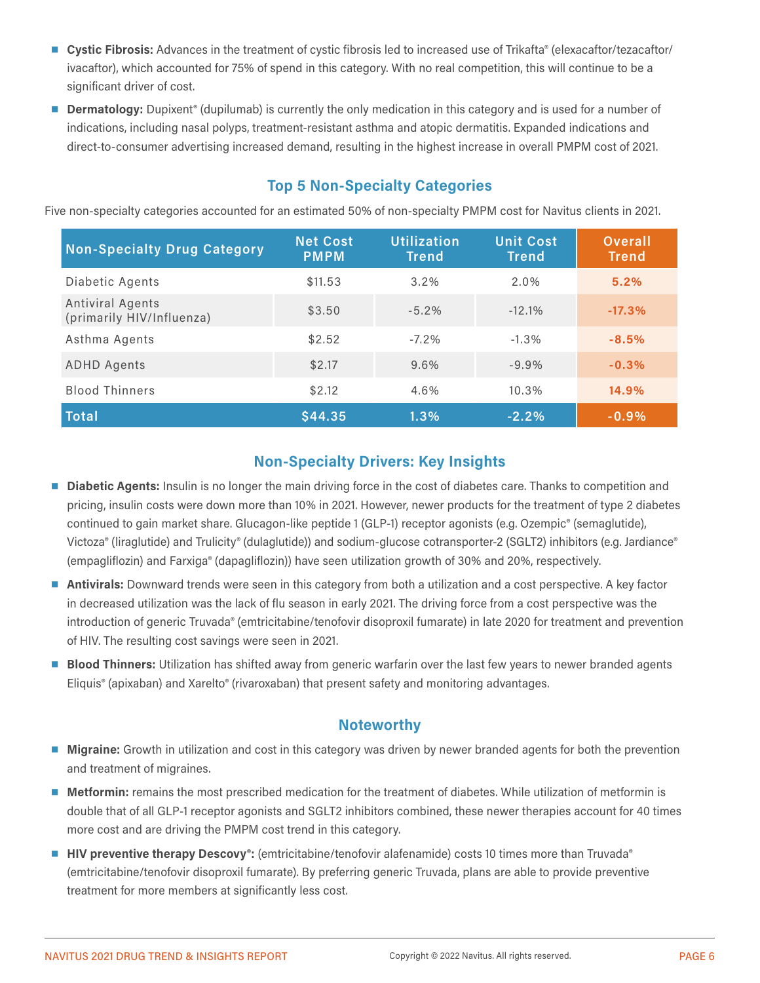- **Cystic Fibrosis:** Advances in the treatment of cystic fibrosis led to increased use of Trikafta® (elexacaftor/tezacaftor/ ivacaftor), which accounted for 75% of spend in this category. With no real competition, this will continue to be a significant driver of cost.
- **Dermatology:** Dupixent<sup>®</sup> (dupilumab) is currently the only medication in this category and is used for a number of indications, including nasal polyps, treatment-resistant asthma and atopic dermatitis. Expanded indications and direct-to-consumer advertising increased demand, resulting in the highest increase in overall PMPM cost of 2021.

#### **Top 5 Non-Specialty Categories**

Five non-specialty categories accounted for an estimated 50% of non-specialty PMPM cost for Navitus clients in 2021.

| <b>Non-Specialty Drug Category</b>            | <b>Net Cost</b><br><b>PMPM</b> | <b>Utilization</b><br><b>Trend</b> | <b>Unit Cost</b><br><b>Trend</b> | <b>Overall</b><br><b>Trend</b> |
|-----------------------------------------------|--------------------------------|------------------------------------|----------------------------------|--------------------------------|
| Diabetic Agents                               | \$11.53                        | 3.2%                               | 2.0%                             | 5.2%                           |
| Antiviral Agents<br>(primarily HIV/Influenza) | \$3,50                         | $-5.2%$                            | $-12.1%$                         | $-17.3%$                       |
| Asthma Agents                                 | \$2.52                         | $-7.2\%$                           | $-1.3%$                          | $-8.5%$                        |
| <b>ADHD Agents</b>                            | \$2.17                         | 9.6%                               | $-9.9%$                          | $-0.3%$                        |
| <b>Blood Thinners</b>                         | \$2.12                         | 4.6%                               | 10.3%                            | 14.9%                          |
| <b>Total</b>                                  | \$44.35                        | 1.3%                               | $-2.2%$                          | $-0.9%$                        |

### **Non-Specialty Drivers: Key Insights**

- **Diabetic Agents:** Insulin is no longer the main driving force in the cost of diabetes care. Thanks to competition and pricing, insulin costs were down more than 10% in 2021. However, newer products for the treatment of type 2 diabetes continued to gain market share. Glucagon-like peptide 1 (GLP-1) receptor agonists (e.g. Ozempic® (semaglutide), Victoza® (liraglutide) and Trulicity® (dulaglutide)) and sodium-glucose cotransporter-2 (SGLT2) inhibitors (e.g. Jardiance® (empagliflozin) and Farxiga® (dapagliflozin)) have seen utilization growth of 30% and 20%, respectively.
- **Antivirals:** Downward trends were seen in this category from both a utilization and a cost perspective. A key factor in decreased utilization was the lack of flu season in early 2021. The driving force from a cost perspective was the introduction of generic Truvada® (emtricitabine/tenofovir disoproxil fumarate) in late 2020 for treatment and prevention of HIV. The resulting cost savings were seen in 2021.
- **Blood Thinners:** Utilization has shifted away from generic warfarin over the last few years to newer branded agents Eliquis® (apixaban) and Xarelto® (rivaroxaban) that present safety and monitoring advantages.

#### **Noteworthy**

- **Migraine:** Growth in utilization and cost in this category was driven by newer branded agents for both the prevention and treatment of migraines.
- **Metformin:** remains the most prescribed medication for the treatment of diabetes. While utilization of metformin is double that of all GLP-1 receptor agonists and SGLT2 inhibitors combined, these newer therapies account for 40 times more cost and are driving the PMPM cost trend in this category.
- **HIV preventive therapy Descovy**<sup>®</sup>: (emtricitabine/tenofovir alafenamide) costs 10 times more than Truvada<sup>®</sup> (emtricitabine/tenofovir disoproxil fumarate). By preferring generic Truvada, plans are able to provide preventive treatment for more members at significantly less cost.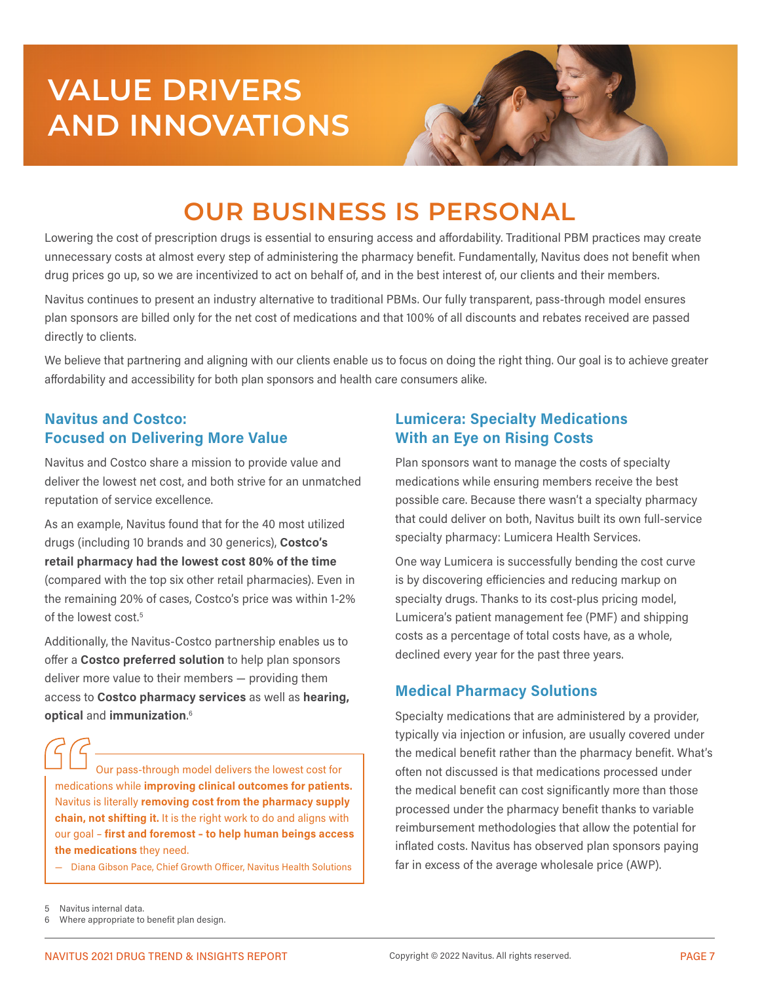# **VALUE DRIVERS AND INNOVATIONS**



## **OUR BUSINESS IS PERSONAL**

Lowering the cost of prescription drugs is essential to ensuring access and affordability. Traditional PBM practices may create unnecessary costs at almost every step of administering the pharmacy benefit. Fundamentally, Navitus does not benefit when drug prices go up, so we are incentivized to act on behalf of, and in the best interest of, our clients and their members.

Navitus continues to present an industry alternative to traditional PBMs. Our fully transparent, pass-through model ensures plan sponsors are billed only for the net cost of medications and that 100% of all discounts and rebates received are passed directly to clients.

We believe that partnering and aligning with our clients enable us to focus on doing the right thing. Our goal is to achieve greater affordability and accessibility for both plan sponsors and health care consumers alike.

#### **Navitus and Costco: Focused on Delivering More Value**

Navitus and Costco share a mission to provide value and deliver the lowest net cost, and both strive for an unmatched reputation of service excellence.

As an example, Navitus found that for the 40 most utilized drugs (including 10 brands and 30 generics), **Costco's retail pharmacy had the lowest cost 80% of the time** (compared with the top six other retail pharmacies). Even in the remaining 20% of cases, Costco's price was within 1-2% of the lowest cost.<sup>5</sup>

Additionally, the Navitus-Costco partnership enables us to offer a **Costco preferred solution** to help plan sponsors deliver more value to their members — providing them access to **Costco pharmacy services** as well as **hearing, optical** and **immunization**. 6

Our pass-through model delivers the lowest cost for medications while **improving clinical outcomes for patients.** Navitus is literally **removing cost from the pharmacy supply chain, not shifting it.** It is the right work to do and aligns with our goal – **first and foremost – to help human beings access the medications** they need.

— Diana Gibson Pace, Chief Growth Officer, Navitus Health Solutions

#### **Lumicera: Specialty Medications With an Eye on Rising Costs**

Plan sponsors want to manage the costs of specialty medications while ensuring members receive the best possible care. Because there wasn't a specialty pharmacy that could deliver on both, Navitus built its own full-service specialty pharmacy: Lumicera Health Services.

One way Lumicera is successfully bending the cost curve is by discovering efficiencies and reducing markup on specialty drugs. Thanks to its cost-plus pricing model, Lumicera's patient management fee (PMF) and shipping costs as a percentage of total costs have, as a whole, declined every year for the past three years.

### **Medical Pharmacy Solutions**

Specialty medications that are administered by a provider, typically via injection or infusion, are usually covered under the medical benefit rather than the pharmacy benefit. What's often not discussed is that medications processed under the medical benefit can cost significantly more than those processed under the pharmacy benefit thanks to variable reimbursement methodologies that allow the potential for inflated costs. Navitus has observed plan sponsors paying far in excess of the average wholesale price (AWP).

5 Navitus internal data.

Where appropriate to benefit plan design.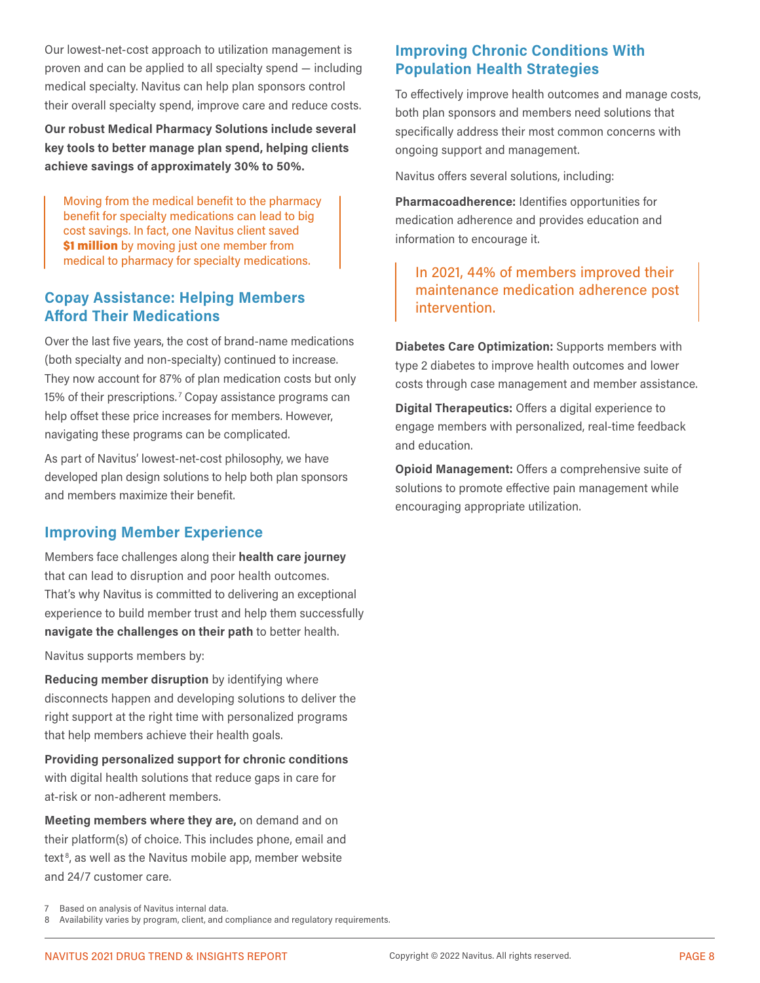Our lowest-net-cost approach to utilization management is proven and can be applied to all specialty spend — including medical specialty. Navitus can help plan sponsors control their overall specialty spend, improve care and reduce costs.

**Our robust Medical Pharmacy Solutions include several key tools to better manage plan spend, helping clients achieve savings of approximately 30% to 50%.**

Moving from the medical benefit to the pharmacy benefit for specialty medications can lead to big cost savings. In fact, one Navitus client saved \$1 million by moving just one member from medical to pharmacy for specialty medications.

#### **Copay Assistance: Helping Members Afford Their Medications**

Over the last five years, the cost of brand-name medications (both specialty and non-specialty) continued to increase. They now account for 87% of plan medication costs but only 15% of their prescriptions.<sup>7</sup> Copay assistance programs can help offset these price increases for members. However, navigating these programs can be complicated.

As part of Navitus' lowest-net-cost philosophy, we have developed plan design solutions to help both plan sponsors and members maximize their benefit.

#### **Improving Member Experience**

Members face challenges along their **health care journey** that can lead to disruption and poor health outcomes. That's why Navitus is committed to delivering an exceptional experience to build member trust and help them successfully **navigate the challenges on their path** to better health.

Navitus supports members by:

**Reducing member disruption** by identifying where disconnects happen and developing solutions to deliver the right support at the right time with personalized programs that help members achieve their health goals.

**Providing personalized support for chronic conditions** with digital health solutions that reduce gaps in care for at-risk or non-adherent members.

**Meeting members where they are,** on demand and on their platform(s) of choice. This includes phone, email and text<sup>8</sup>, as well as the Navitus mobile app, member website and 24/7 customer care.

### **Improving Chronic Conditions With Population Health Strategies**

To effectively improve health outcomes and manage costs, both plan sponsors and members need solutions that specifically address their most common concerns with ongoing support and management.

Navitus offers several solutions, including:

**Pharmacoadherence:** Identifies opportunities for medication adherence and provides education and information to encourage it.

#### In 2021, 44% of members improved their maintenance medication adherence post intervention.

**Diabetes Care Optimization:** Supports members with type 2 diabetes to improve health outcomes and lower costs through case management and member assistance.

**Digital Therapeutics:** Offers a digital experience to engage members with personalized, real-time feedback and education.

**Opioid Management:** Offers a comprehensive suite of solutions to promote effective pain management while encouraging appropriate utilization.

<sup>7</sup> Based on analysis of Navitus internal data.

<sup>8</sup> Availability varies by program, client, and compliance and regulatory requirements.